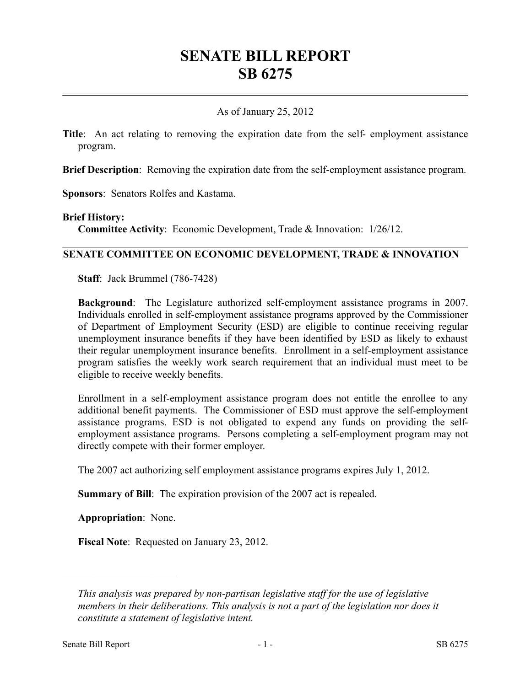# **SENATE BILL REPORT SB 6275**

### As of January 25, 2012

**Title**: An act relating to removing the expiration date from the self- employment assistance program.

**Brief Description**: Removing the expiration date from the self-employment assistance program.

**Sponsors**: Senators Rolfes and Kastama.

#### **Brief History:**

**Committee Activity**: Economic Development, Trade & Innovation: 1/26/12.

#### **SENATE COMMITTEE ON ECONOMIC DEVELOPMENT, TRADE & INNOVATION**

**Staff**: Jack Brummel (786-7428)

**Background**: The Legislature authorized self-employment assistance programs in 2007. Individuals enrolled in self-employment assistance programs approved by the Commissioner of Department of Employment Security (ESD) are eligible to continue receiving regular unemployment insurance benefits if they have been identified by ESD as likely to exhaust their regular unemployment insurance benefits. Enrollment in a self-employment assistance program satisfies the weekly work search requirement that an individual must meet to be eligible to receive weekly benefits.

Enrollment in a self-employment assistance program does not entitle the enrollee to any additional benefit payments. The Commissioner of ESD must approve the self-employment assistance programs. ESD is not obligated to expend any funds on providing the selfemployment assistance programs. Persons completing a self-employment program may not directly compete with their former employer.

The 2007 act authorizing self employment assistance programs expires July 1, 2012.

**Summary of Bill**: The expiration provision of the 2007 act is repealed.

**Appropriation**: None.

––––––––––––––––––––––

**Fiscal Note**: Requested on January 23, 2012.

*This analysis was prepared by non-partisan legislative staff for the use of legislative members in their deliberations. This analysis is not a part of the legislation nor does it constitute a statement of legislative intent.*